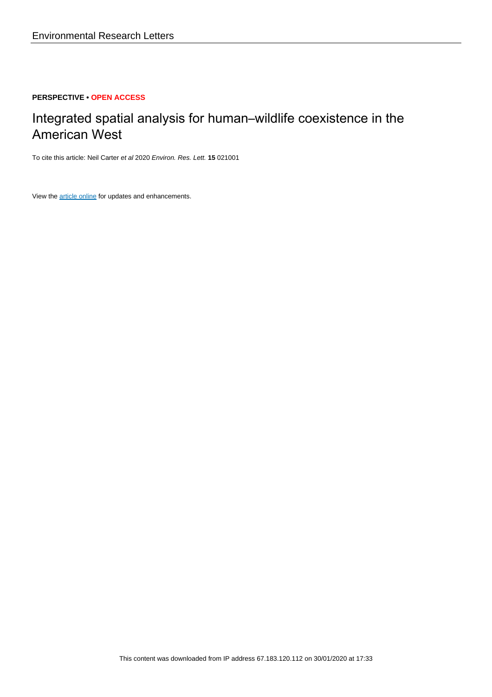## **PERSPECTIVE • OPEN ACCESS**

# Integrated spatial analysis for human–wildlife coexistence in the American West

To cite this article: Neil Carter et al 2020 Environ. Res. Lett. **15** 021001

View the **[article online](https://doi.org/10.1088/1748-9326/ab60e1)** for updates and enhancements.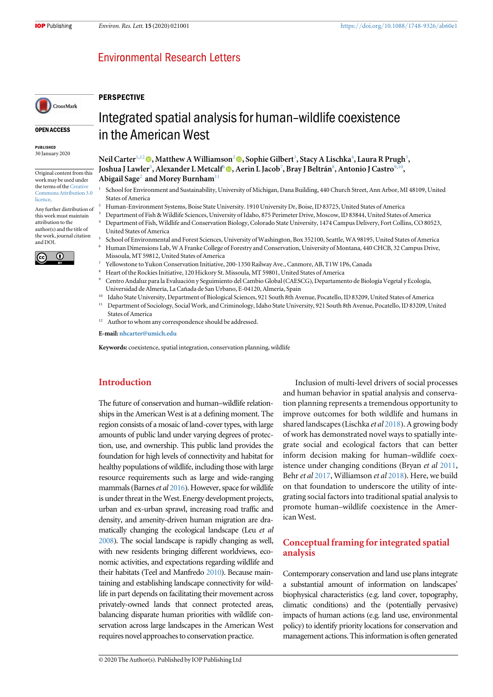## **Environmental Research Letters**

#### **PERSPECTIVE**

#### OPEN ACCESS

CrossMark

PUBLISHED 30 January 2020

Original content from this work may be used under the terms of the [Creative](http://creativecommons.org/licenses/by/3.0) [Commons Attribution 3.0](http://creativecommons.org/licenses/by/3.0) [licence.](http://creativecommons.org/licenses/by/3.0)

Any further distribution of this work must maintain attribution to the author(s) and the title of the work, journal citation and DOI.



## Integrated spatial analysis for human–wildlife coexistence in the American West

Neil Carter $^{1,12}$  $^{1,12}$  $^{1,12}$  (0), Matthew A Williamson $^2$  (0), Sophie Gilbert $^3$ , Stacy A Lischka $^4$ , Laura R Prugh $^5$ , Joshua J Lawler<sup>5</sup>, Alexander L Metcalf<sup>6</sup> (D, Aerin L Jacob<sup>7</sup>, Bray J Beltrán<sup>8</sup>, Antonio J Castro<sup>9,10</sup>, Abigail Sage<sup>2</sup> and Morey Burnham<sup>11</sup>

- <sup>1</sup> School for Environment and Sustainability, University of Michigan, Dana Building, 440 Church Street, Ann Arbor, MI 48109, United States of America
- <sup>2</sup> Human-Environment Systems, Boise State University. 1910 University Dr, Boise, ID 83725, United States of America
- <sup>3</sup> Department of Fish & Wildlife Sciences, University of Idaho, 875 Perimeter Drive, Moscow, ID 83844, United States of America <sup>4</sup> Department of Fish, Wildlife and Conservation Biology, Colorado State University, 1474 Campus Delivery, Fort Collins, CO 80523,
- United States of America <sup>5</sup> School of Environmental and Forest Sciences, University of Washington, Box 352100, Seattle, WA 98195, United States of America
- <sup>6</sup> Human Dimensions Lab, W A Franke College of Forestry and Conservation, University of Montana, 440 CHCB, 32 Campus Drive, Missoula, MT 59812, United States of America
- <sup>7</sup> Yellowstone to Yukon Conservation Initiative, 200-1350 Railway Ave., Canmore, AB, T1W 1P6, Canada
- <sup>8</sup> Heart of the Rockies Initiative, 120 Hickory St. Missoula, MT 59801, United States of America
- <sup>9</sup> Centro Andaluz para la Evaluación y Seguimiento del Cambio Global(CAESCG), Departamento de Biología Vegetal y Ecología, Universidad de Almería, La Cañada de San Urbano, E-04120, Almería, Spain
- <sup>10</sup> Idaho State University, Department of Biological Sciences, 921 South 8th Avenue, Pocatello, ID 83209, United States of America
- <sup>11</sup> Department of Sociology, Social Work, and Criminology, Idaho State University, 921 South 8th Avenue, Pocatello, ID 83209, United States of America
- Author to whom any correspondence should be addressed.

E-mail: [nhcarter@umich.edu](mailto:nhcarter@umich.edu)

Keywords: coexistence, spatial integration, conservation planning, wildlife

### Introduction

The future of conservation and human–wildlife relationships in the American West is at a defining moment. The region consists of a mosaic of land-cover types, with large amounts of public land under varying degrees of protection, use, and ownership. This public land provides the foundation for high levels of connectivity and habitat for healthy populations of wildlife, including those with large resource requirements such as large and wide-ranging mammals (Barnes et al [2016](#page-6-0)). However, space for wildlife is under threat in the West. Energy development projects, urban and ex-urban sprawl, increasing road traffic and density, and amenity-driven human migration are dramatically changing the ecological landscape (Leu et al [2008](#page-7-0)). The social landscape is rapidly changing as well, with new residents bringing different worldviews, economic activities, and expectations regarding wildlife and their habitats (Teel and Manfredo [2010](#page-7-0)). Because maintaining and establishing landscape connectivity for wildlife in part depends on facilitating their movement across privately-owned lands that connect protected areas, balancing disparate human priorities with wildlife conservation across large landscapes in the American West requires novel approaches to conservation practice.

Inclusion of multi-level drivers of social processes and human behavior in spatial analysis and conservation planning represents a tremendous opportunity to improve outcomes for both wildlife and humans in shared landscapes (Lischka et al [2018](#page-7-0)). A growing body of work has demonstrated novel ways to spatially integrate social and ecological factors that can better inform decision making for human–wildlife coexistence under changing conditions (Bryan et al [2011](#page-7-0), Behr et al [2017](#page-6-0), Williamson et al [2018](#page-7-0)). Here, we build on that foundation to underscore the utility of integrating social factors into traditional spatial analysis to promote human–wildlife coexistence in the American West.

### Conceptual framing for integrated spatial analysis

Contemporary conservation and land use plans integrate a substantial amount of information on landscapes' biophysical characteristics (e.g. land cover, topography, climatic conditions) and the (potentially pervasive) impacts of human actions (e.g. land use, environmental policy) to identify priority locations for conservation and management actions. This information is often generated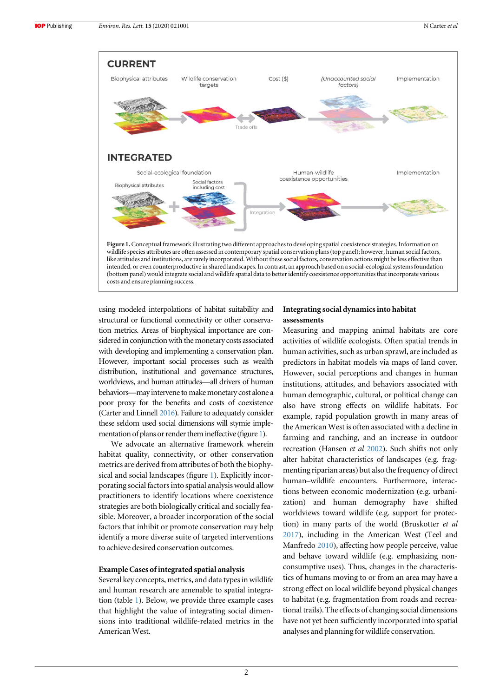

using modeled interpolations of habitat suitability and structural or functional connectivity or other conservation metrics. Areas of biophysical importance are considered in conjunction with the monetary costs associated with developing and implementing a conservation plan. However, important social processes such as wealth distribution, institutional and governance structures, worldviews, and human attitudes—all drivers of human behaviors—may intervene to make monetary cost alone a poor proxy for the benefits and costs of coexistence (Carter and Linnell [2016](#page-7-0)). Failure to adequately consider these seldom used social dimensions will stymie implementation of plans or render them ineffective (figure 1).

We advocate an alternative framework wherein habitat quality, connectivity, or other conservation metrics are derived from attributes of both the biophysical and social landscapes (figure 1). Explicitly incorporating social factors into spatial analysis would allow practitioners to identify locations where coexistence strategies are both biologically critical and socially feasible. Moreover, a broader incorporation of the social factors that inhibit or promote conservation may help identify a more diverse suite of targeted interventions to achieve desired conservation outcomes.

#### Example Cases of integrated spatial analysis

Several key concepts, metrics, and data types in wildlife and human research are amenable to spatial integration (table [1](#page-3-0)). Below, we provide three example cases that highlight the value of integrating social dimensions into traditional wildlife-related metrics in the American West.

#### Integrating social dynamics into habitat assessments

Measuring and mapping animal habitats are core activities of wildlife ecologists. Often spatial trends in human activities, such as urban sprawl, are included as predictors in habitat models via maps of land cover. However, social perceptions and changes in human institutions, attitudes, and behaviors associated with human demographic, cultural, or political change can also have strong effects on wildlife habitats. For example, rapid population growth in many areas of the American West is often associated with a decline in farming and ranching, and an increase in outdoor recreation (Hansen et al [2002](#page-7-0)). Such shifts not only alter habitat characteristics of landscapes (e.g. fragmenting riparian areas) but also the frequency of direct human–wildlife encounters. Furthermore, interactions between economic modernization (e.g. urbanization) and human demography have shifted worldviews toward wildlife (e.g. support for protection) in many parts of the world (Bruskotter et al [2017](#page-7-0)), including in the American West (Teel and Manfredo [2010](#page-7-0)), affecting how people perceive, value and behave toward wildlife (e.g. emphasizing nonconsumptive uses). Thus, changes in the characteristics of humans moving to or from an area may have a strong effect on local wildlife beyond physical changes to habitat (e.g. fragmentation from roads and recreational trails). The effects of changing social dimensions have not yet been sufficiently incorporated into spatial analyses and planning for wildlife conservation.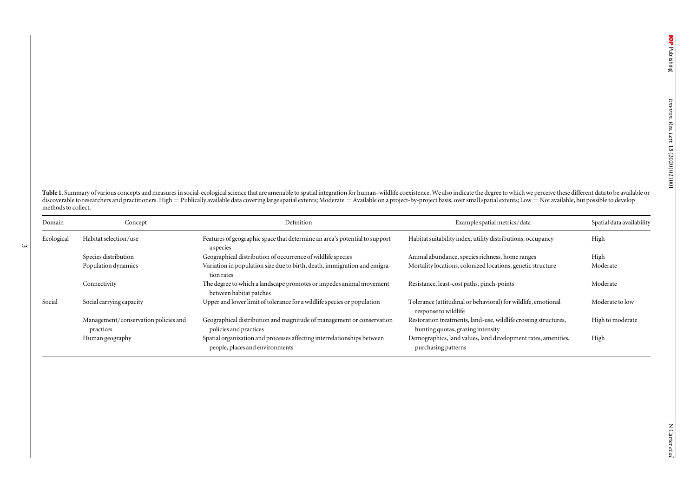<span id="page-3-0"></span>Table 1. Summary of various concepts and measures in social-ecological science that are amenable to spatial integration for human-wildlife coexistence. We also indicate the degree to which we perceive these different data discoverable to researchers and practitioners. High = Publically available data covering large spatial extents; Moderate = Available on a project-by-project basis, over small spatial extents; Low = Not available, but possi methods to collect.

| Domain     | Concept                                           | Definition                                                                                                 | Example spatial metrics/data                                                                         | Spatial data availability |
|------------|---------------------------------------------------|------------------------------------------------------------------------------------------------------------|------------------------------------------------------------------------------------------------------|---------------------------|
| Ecological | Habitat selection/use                             | Features of geographic space that determine an area's potential to support<br>a species                    | Habitat suitability index, utility distributions, occupancy                                          | High                      |
|            | Species distribution                              | Geographical distribution of occurrence of wildlife species                                                | Animal abundance, species richness, home ranges                                                      | High                      |
|            | Population dynamics                               | Variation in population size due to birth, death, immigration and emigra-<br>tion rates                    | Mortality locations, colonized locations, genetic structure                                          | Moderate                  |
|            | Connectivity                                      | The degree to which a landscape promotes or impedes animal movement<br>between habitat patches             | Resistance, least-cost paths, pinch-points                                                           | Moderate                  |
| Social     | Social carrying capacity                          | Upper and lower limit of tolerance for a wildlife species or population                                    | Tolerance (attitudinal or behavioral) for wildlife, emotional<br>response to wildlife                | Moderate to low           |
|            | Management/conservation policies and<br>practices | Geographical distribution and magnitude of management or conservation<br>policies and practices            | Restoration treatments, land-use, wildlife crossing structures,<br>hunting quotas, grazing intensity | High to moderate          |
|            | Human geography                                   | Spatial organization and processes affecting interrelationships between<br>people, places and environments | Demographics, land values, land development rates, amenities,<br>purchasing patterns                 | High                      |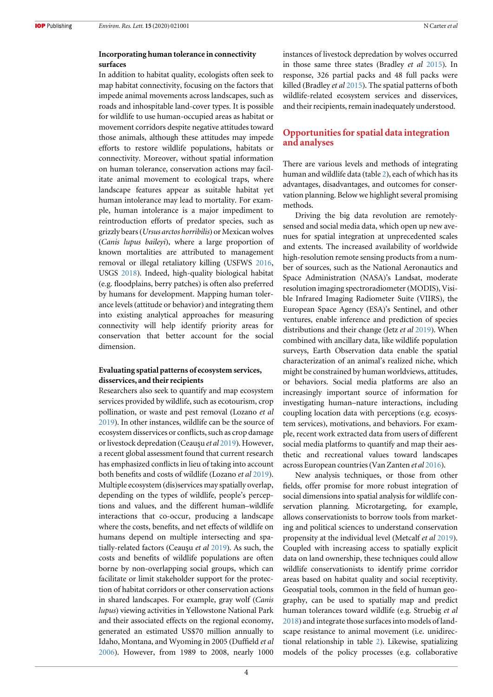#### Incorporating human tolerance in connectivity surfaces

In addition to habitat quality, ecologists often seek to map habitat connectivity, focusing on the factors that impede animal movements across landscapes, such as roads and inhospitable land-cover types. It is possible for wildlife to use human-occupied areas as habitat or movement corridors despite negative attitudes toward those animals, although these attitudes may impede efforts to restore wildlife populations, habitats or connectivity. Moreover, without spatial information on human tolerance, conservation actions may facilitate animal movement to ecological traps, where landscape features appear as suitable habitat yet human intolerance may lead to mortality. For example, human intolerance is a major impediment to reintroduction efforts of predator species, such as grizzly bears(Ursus arctos horribilis) or Mexican wolves (Canis lupus baileyi), where a large proportion of known mortalities are attributed to management removal or illegal retaliatory killing (USFWS [2016,](#page-7-0) USGS [2018](#page-7-0)). Indeed, high-quality biological habitat (e.g. floodplains, berry patches) is often also preferred by humans for development. Mapping human tolerance levels (attitude or behavior) and integrating them into existing analytical approaches for measuring connectivity will help identify priority areas for conservation that better account for the social dimension.

#### Evaluating spatial patterns of ecosystem services, disservices, and their recipients

Researchers also seek to quantify and map ecosystem services provided by wildlife, such as ecotourism, crop pollination, or waste and pest removal (Lozano et al [2019](#page-7-0)). In other instances, wildlife can be the source of ecosystem disservices or conflicts, such as crop damage or livestock depredation (Ceauşu et al [2019](#page-7-0)). However, a recent global assessment found that current research has emphasized conflicts in lieu of taking into account both benefits and costs of wildlife (Lozano et al [2019](#page-7-0)). Multiple ecosystem (dis)services may spatially overlap, depending on the types of wildlife, people's perceptions and values, and the different human–wildlife interactions that co-occur, producing a landscape where the costs, benefits, and net effects of wildlife on humans depend on multiple intersecting and spatially-related factors (Ceauşu et al [2019](#page-7-0)). As such, the costs and benefits of wildlife populations are often borne by non-overlapping social groups, which can facilitate or limit stakeholder support for the protection of habitat corridors or other conservation actions in shared landscapes. For example, gray wolf (Canis lupus) viewing activities in Yellowstone National Park and their associated effects on the regional economy, generated an estimated US\$70 million annually to Idaho, Montana, and Wyoming in 2005 (Duffield et al [2006](#page-7-0)). However, from 1989 to 2008, nearly 1000

instances of livestock depredation by wolves occurred in those same three states (Bradley et al [2015](#page-6-0)). In response, 326 partial packs and 48 full packs were killed (Bradley et al [2015](#page-6-0)). The spatial patterns of both wildlife-related ecosystem services and disservices, and their recipients, remain inadequately understood.

#### Opportunities for spatial data integration and analyses

There are various levels and methods of integrating human and wildlife data (table [2](#page-5-0)), each of which has its advantages, disadvantages, and outcomes for conservation planning. Below we highlight several promising methods.

Driving the big data revolution are remotelysensed and social media data, which open up new avenues for spatial integration at unprecedented scales and extents. The increased availability of worldwide high-resolution remote sensing products from a number of sources, such as the National Aeronautics and Space Administration (NASA)'s Landsat, moderate resolution imaging spectroradiometer (MODIS), Visible Infrared Imaging Radiometer Suite (VIIRS), the European Space Agency (ESA)'s Sentinel, and other ventures, enable inference and prediction of species distributions and their change (Jetz et al [2019](#page-7-0)). When combined with ancillary data, like wildlife population surveys, Earth Observation data enable the spatial characterization of an animal's realized niche, which might be constrained by human worldviews, attitudes, or behaviors. Social media platforms are also an increasingly important source of information for investigating human–nature interactions, including coupling location data with perceptions (e.g. ecosystem services), motivations, and behaviors. For example, recent work extracted data from users of different social media platforms to quantify and map their aesthetic and recreational values toward landscapes across European countries(Van Zanten et al [2016](#page-7-0)).

New analysis techniques, or those from other fields, offer promise for more robust integration of social dimensions into spatial analysis for wildlife conservation planning. Microtargeting, for example, allows conservationists to borrow tools from marketing and political sciences to understand conservation propensity at the individual level (Metcalf et al [2019](#page-7-0)). Coupled with increasing access to spatially explicit data on land ownership, these techniques could allow wildlife conservationists to identify prime corridor areas based on habitat quality and social receptivity. Geospatial tools, common in the field of human geography, can be used to spatially map and predict human tolerances toward wildlife (e.g. Struebig et al [2018](#page-7-0)) and integrate those surfaces into models of landscape resistance to animal movement (i.e. unidirectional relationship in table [2](#page-5-0)). Likewise, spatializing models of the policy processes (e.g. collaborative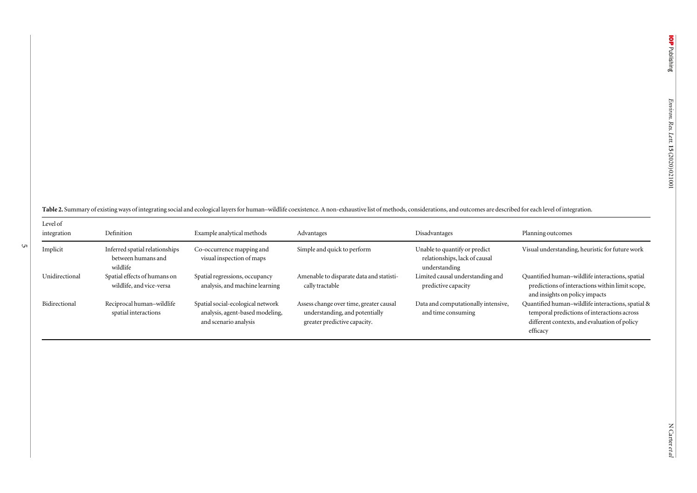<span id="page-5-0"></span>Table 2. Summary of existing ways of integrating social and ecological layers for human–wildlife coexistence. A non-exhaustive list of methods, considerations, and outcomes are described for each level of integration.

5

| Level of<br>integration | Definition                                                       | Example analytical methods                                                                    | Advantages                                                                                                | Disadvantages                                                                   | Planning outcomes                                                                                                                                            |
|-------------------------|------------------------------------------------------------------|-----------------------------------------------------------------------------------------------|-----------------------------------------------------------------------------------------------------------|---------------------------------------------------------------------------------|--------------------------------------------------------------------------------------------------------------------------------------------------------------|
| Implicit                | Inferred spatial relationships<br>between humans and<br>wildlife | Co-occurrence mapping and<br>visual inspection of maps                                        | Simple and quick to perform                                                                               | Unable to quantify or predict<br>relationships, lack of causal<br>understanding | Visual understanding, heuristic for future work                                                                                                              |
| Unidirectional          | Spatial effects of humans on<br>wildlife, and vice-versa         | Spatial regressions, occupancy<br>analysis, and machine learning                              | Amenable to disparate data and statisti-<br>cally tractable                                               | Limited causal understanding and<br>predictive capacity                         | Quantified human-wildlife interactions, spatial<br>predictions of interactions within limit scope,<br>and insights on policy impacts                         |
| Bidirectional           | Reciprocal human-wildlife<br>spatial interactions                | Spatial social-ecological network<br>analysis, agent-based modeling,<br>and scenario analysis | Assess change over time, greater causal<br>understanding, and potentially<br>greater predictive capacity. | Data and computationally intensive,<br>and time consuming                       | Quantified human-wildlife interactions, spatial &<br>temporal predictions of interactions across<br>different contexts, and evaluation of policy<br>efficacy |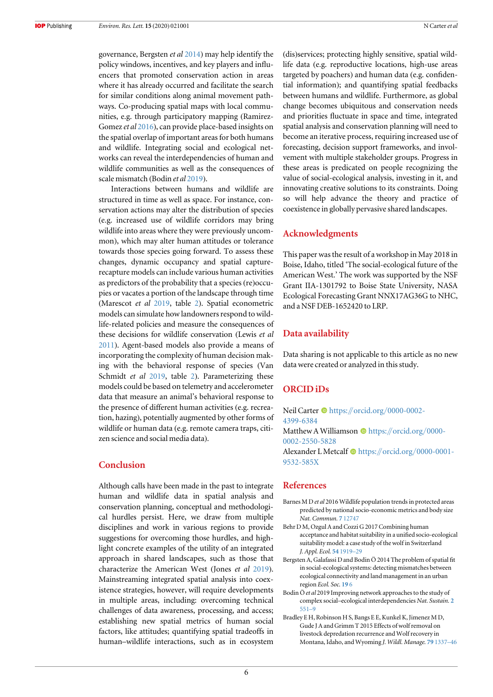<span id="page-6-0"></span>governance, Bergsten et al 2014) may help identify the policy windows, incentives, and key players and influencers that promoted conservation action in areas where it has already occurred and facilitate the search for similar conditions along animal movement pathways. Co-producing spatial maps with local communities, e.g. through participatory mapping (Ramirez-Gomez et al [2016](#page-7-0)), can provide place-based insights on the spatial overlap of important areas for both humans and wildlife. Integrating social and ecological networks can reveal the interdependencies of human and wildlife communities as well as the consequences of scale mismatch (Bodin et al 2019).

Interactions between humans and wildlife are structured in time as well as space. For instance, conservation actions may alter the distribution of species (e.g. increased use of wildlife corridors may bring wildlife into areas where they were previously uncommon), which may alter human attitudes or tolerance towards those species going forward. To assess these changes, dynamic occupancy and spatial capturerecapture models can include various human activities as predictors of the probability that a species (re)occupies or vacates a portion of the landscape through time (Marescot et al [2019,](#page-7-0) table [2](#page-5-0)). Spatial econometric models can simulate how landowners respond to wildlife-related policies and measure the consequences of these decisions for wildlife conservation (Lewis et al [2011](#page-7-0)). Agent-based models also provide a means of incorporating the complexity of human decision making with the behavioral response of species (Van Schmidt et al [2019](#page-7-0), table [2](#page-5-0)). Parameterizing these models could be based on telemetry and accelerometer data that measure an animal's behavioral response to the presence of different human activities (e.g. recreation, hazing), potentially augmented by other forms of wildlife or human data (e.g. remote camera traps, citizen science and social media data).

#### Conclusion

Although calls have been made in the past to integrate human and wildlife data in spatial analysis and conservation planning, conceptual and methodological hurdles persist. Here, we draw from multiple disciplines and work in various regions to provide suggestions for overcoming those hurdles, and highlight concrete examples of the utility of an integrated approach in shared landscapes, such as those that characterize the American West (Jones et al [2019](#page-7-0)). Mainstreaming integrated spatial analysis into coexistence strategies, however, will require developments in multiple areas, including: overcoming technical challenges of data awareness, processing, and access; establishing new spatial metrics of human social factors, like attitudes; quantifying spatial tradeoffs in human–wildlife interactions, such as in ecosystem (dis)services; protecting highly sensitive, spatial wildlife data (e.g. reproductive locations, high-use areas targeted by poachers) and human data (e.g. confidential information); and quantifying spatial feedbacks between humans and wildlife. Furthermore, as global change becomes ubiquitous and conservation needs and priorities fluctuate in space and time, integrated spatial analysis and conservation planning will need to become an iterative process, requiring increased use of forecasting, decision support frameworks, and involvement with multiple stakeholder groups. Progress in these areas is predicated on people recognizing the value of social-ecological analysis, investing in it, and innovating creative solutions to its constraints. Doing so will help advance the theory and practice of coexistence in globally pervasive shared landscapes.

#### Acknowledgments

This paper was the result of a workshop in May 2018 in Boise, Idaho, titled 'The social-ecological future of the American West.' The work was supported by the NSF Grant IIA-1301792 to Boise State University, NASA Ecological Forecasting Grant NNX17AG36G to NHC, and a NSF DEB-1652420 to LRP.

#### Data availability

Data sharing is not applicable to this article as no new data were created or analyzed in this study.

#### ORCID iDs

Neil Ca[r](https://orcid.org/0000-0002-4399-6384)ter  $\bullet$  [https:](https://orcid.org/0000-0002-4399-6384)//orcid.org/[0000-0002-](https://orcid.org/0000-0002-4399-6384) [4399-6384](https://orcid.org/0000-0002-4399-6384)

Matthew A Williamso[n](https://orcid.org/0000-0002-2550-5828)  $\bullet$  [https:](https://orcid.org/0000-0002-2550-5828)//[orcid.org](https://orcid.org/0000-0002-2550-5828)/0000-[0002-2550-5828](https://orcid.org/0000-0002-2550-5828) Alexander L Metcal[f](https://orcid.org/0000-0001-9532-585X)  $\bullet$  [https:](https://orcid.org/0000-0001-9532-585X)//orcid.org/[0000-0001-](https://orcid.org/0000-0001-9532-585X)

[9532-585X](https://orcid.org/0000-0001-9532-585X)

#### References

- Barnes M D et al 2016 Wildlife population trends in protected areas predicted by national socio-economic metrics and body size Nat. Commun. 7 [12747](https://doi.org/10.1038/ncomms12747)
- Behr D M, Ozgul A and Cozzi G 2017 Combining human acceptance and habitat suitability in a unified socio-ecological suitability model: a case study of the wolf in Switzerland J. Appl. Ecol. 54 [1919](https://doi.org/10.1111/1365-2664.12880)–29
- Bergsten A, Galafassi D and Bodin Ö 2014 The problem of spatial fit in social-ecological systems: detecting mismatches between ecological connectivity and land management in an urban region Ecol. Soc. [19](https://doi.org/10.5751/ES-06931-190406) 6
- Bodin Ö et al 2019 Improving network approaches to the study of complex social–ecological interdependencies Nat. Sustain. [2](https://doi.org/10.1038/s41893-019-0308-0) [551](https://doi.org/10.1038/s41893-019-0308-0)–9
- Bradley E H, Robinson H S, Bangs E E, Kunkel K, Jimenez M D, Gude J A and Grimm T 2015 Effects of wolf removal on livestock depredation recurrence and Wolf recovery in Montana, Idaho, and Wyoming J. Wildl. Manage. 79 [1337](https://doi.org/10.1002/jwmg.948)–46